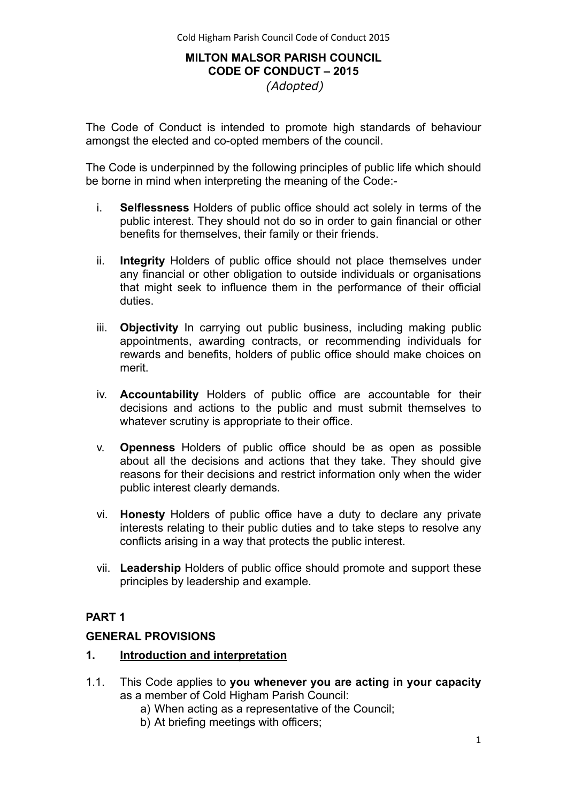## **MILTON MALSOR PARISH COUNCIL CODE OF CONDUCT – 2015**  *(Adopted)*

The Code of Conduct is intended to promote high standards of behaviour amongst the elected and co-opted members of the council.

The Code is underpinned by the following principles of public life which should be borne in mind when interpreting the meaning of the Code:-

- i. **Selflessness** Holders of public office should act solely in terms of the public interest. They should not do so in order to gain financial or other benefits for themselves, their family or their friends.
- ii. **Integrity** Holders of public office should not place themselves under any financial or other obligation to outside individuals or organisations that might seek to influence them in the performance of their official duties.
- iii. **Objectivity** In carrying out public business, including making public appointments, awarding contracts, or recommending individuals for rewards and benefits, holders of public office should make choices on merit.
- iv. **Accountability** Holders of public office are accountable for their decisions and actions to the public and must submit themselves to whatever scrutiny is appropriate to their office.
- v. **Openness** Holders of public office should be as open as possible about all the decisions and actions that they take. They should give reasons for their decisions and restrict information only when the wider public interest clearly demands.
- vi. **Honesty** Holders of public office have a duty to declare any private interests relating to their public duties and to take steps to resolve any conflicts arising in a way that protects the public interest.
- vii. **Leadership** Holders of public office should promote and support these principles by leadership and example.

# **PART 1**

## **GENERAL PROVISIONS**

## **1. Introduction and interpretation**

- 1.1. This Code applies to **you whenever you are acting in your capacity**  as a member of Cold Higham Parish Council:
	- a) When acting as a representative of the Council;
	- b) At briefing meetings with officers;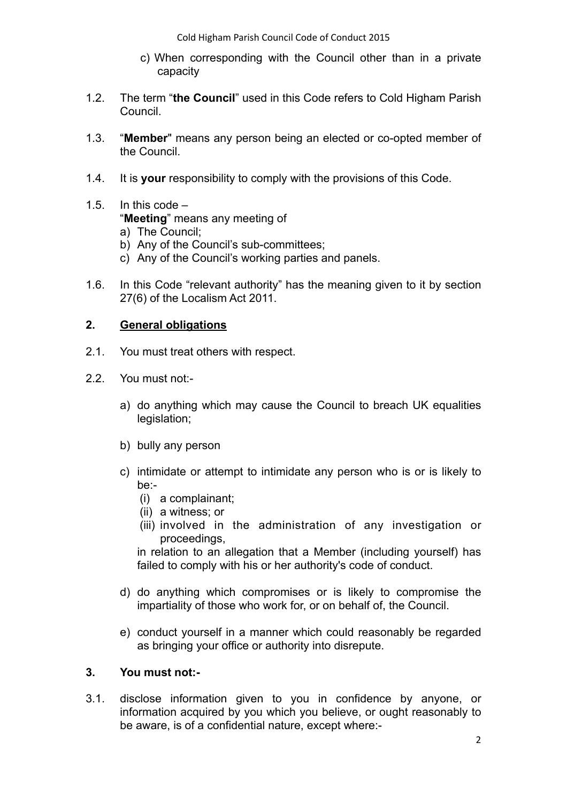Cold Higham Parish Council Code of Conduct 2015

- c) When corresponding with the Council other than in a private capacity
- 1.2. The term "**the Council**" used in this Code refers to Cold Higham Parish Council.
- 1.3. "**Member**" means any person being an elected or co-opted member of the Council.
- 1.4. It is **your** responsibility to comply with the provisions of this Code.
- 1.5. In this code "**Meeting**" means any meeting of a) The Council;
	- b) Any of the Council's sub-committees;
	- c) Any of the Council's working parties and panels.
- 1.6. In this Code "relevant authority" has the meaning given to it by section 27(6) of the Localism Act 2011.

## **2. General obligations**

- 2.1. You must treat others with respect.
- 2.2. You must not:
	- a) do anything which may cause the Council to breach UK equalities legislation;
	- b) bully any person
	- c) intimidate or attempt to intimidate any person who is or is likely to be:-
		- (i) a complainant;
		- (ii) a witness; or
		- (iii) involved in the administration of any investigation or proceedings,

in relation to an allegation that a Member (including yourself) has failed to comply with his or her authority's code of conduct.

- d) do anything which compromises or is likely to compromise the impartiality of those who work for, or on behalf of, the Council.
- e) conduct yourself in a manner which could reasonably be regarded as bringing your office or authority into disrepute.

## **3. You must not:-**

3.1. disclose information given to you in confidence by anyone, or information acquired by you which you believe, or ought reasonably to be aware, is of a confidential nature, except where:-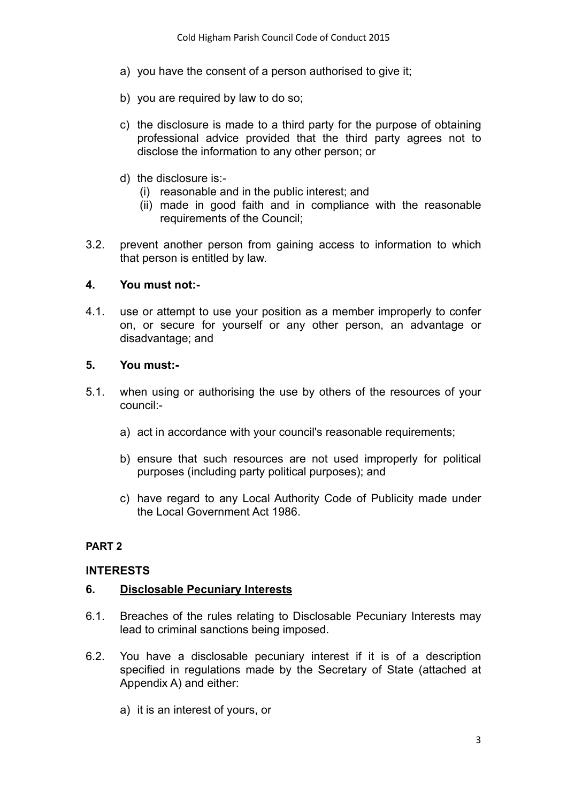- a) you have the consent of a person authorised to give it:
- b) you are required by law to do so;
- c) the disclosure is made to a third party for the purpose of obtaining professional advice provided that the third party agrees not to disclose the information to any other person; or
- d) the disclosure is:-
	- (i) reasonable and in the public interest; and
	- (ii) made in good faith and in compliance with the reasonable requirements of the Council;
- 3.2. prevent another person from gaining access to information to which that person is entitled by law.

## **4. You must not:-**

4.1. use or attempt to use your position as a member improperly to confer on, or secure for yourself or any other person, an advantage or disadvantage; and

## **5. You must:-**

- 5.1. when using or authorising the use by others of the resources of your council:
	- a) act in accordance with your council's reasonable requirements;
	- b) ensure that such resources are not used improperly for political purposes (including party political purposes); and
	- c) have regard to any Local Authority Code of Publicity made under the Local Government Act 1986.

# **PART 2**

# **INTERESTS**

# **6. Disclosable Pecuniary Interests**

- 6.1. Breaches of the rules relating to Disclosable Pecuniary Interests may lead to criminal sanctions being imposed.
- 6.2. You have a disclosable pecuniary interest if it is of a description specified in regulations made by the Secretary of State (attached at Appendix A) and either:
	- a) it is an interest of yours, or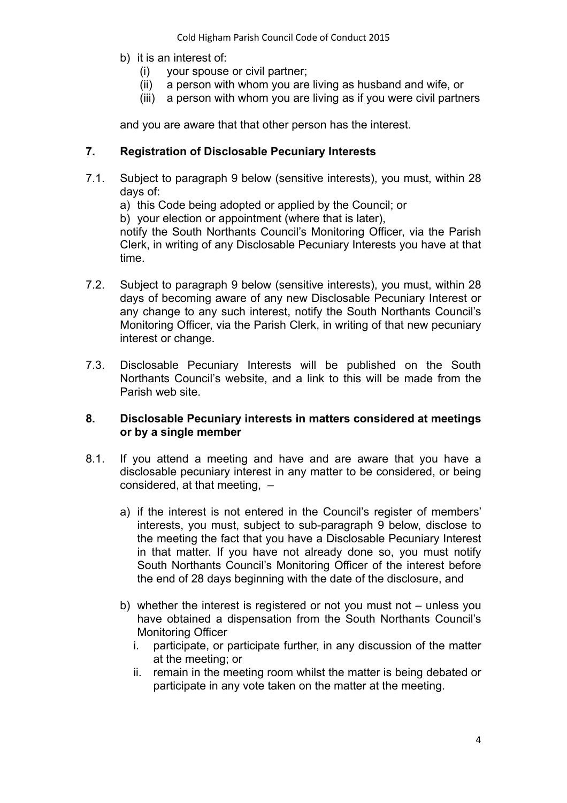- b) it is an interest of:
	- (i) your spouse or civil partner;
	- (ii) a person with whom you are living as husband and wife, or
	- (iii) a person with whom you are living as if you were civil partners

and you are aware that that other person has the interest.

## **7. Registration of Disclosable Pecuniary Interests**

- 7.1. Subject to paragraph [9 below](#page-4-0) (sensitive interests), you must, within 28 days of:
	- a) this Code being adopted or applied by the Council; or

b) your election or appointment (where that is later),

notify the South Northants Council's Monitoring Officer, via the Parish Clerk, in writing of any Disclosable Pecuniary Interests you have at that time.

- 7.2. Subject to paragraph [9 below](#page-4-0) (sensitive interests), you must, within 28 days of becoming aware of any new Disclosable Pecuniary Interest or any change to any such interest, notify the South Northants Council's Monitoring Officer, via the Parish Clerk, in writing of that new pecuniary interest or change.
- 7.3. Disclosable Pecuniary Interests will be published on the South Northants Council's website, and a link to this will be made from the Parish web site.

## **8. Disclosable Pecuniary interests in matters considered at meetings or by a single member**

- 8.1. If you attend a meeting and have and are aware that you have a disclosable pecuniary interest in any matter to be considered, or being considered, at that meeting, –
	- a) if the interest is not entered in the Council's register of members' interests, you must, subject to sub-paragraph 9 below, disclose to the meeting the fact that you have a Disclosable Pecuniary Interest in that matter. If you have not already done so, you must notify South Northants Council's Monitoring Officer of the interest before the end of 28 days beginning with the date of the disclosure, and
	- b) whether the interest is registered or not you must not unless you have obtained a dispensation from the South Northants Council's Monitoring Officer
		- i. participate, or participate further, in any discussion of the matter at the meeting; or
		- ii. remain in the meeting room whilst the matter is being debated or participate in any vote taken on the matter at the meeting.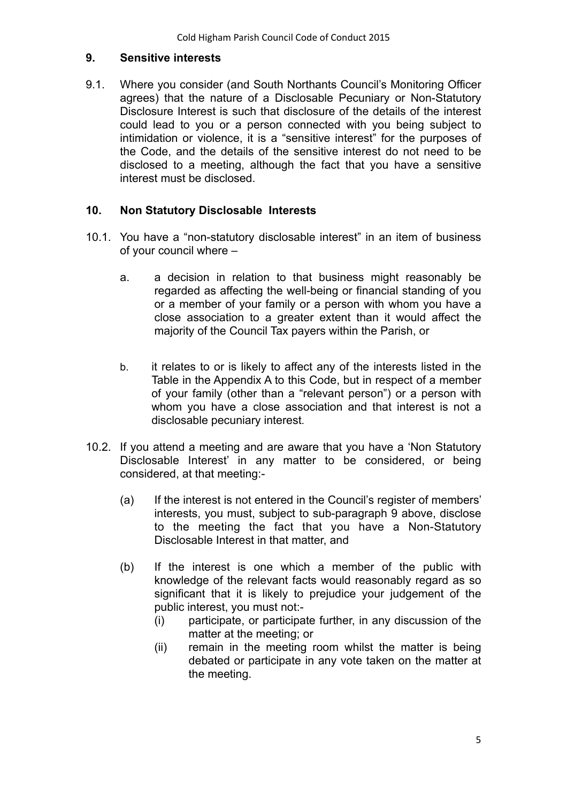## <span id="page-4-0"></span>**9. Sensitive interests**

9.1. Where you consider (and South Northants Council's Monitoring Officer agrees) that the nature of a Disclosable Pecuniary or Non-Statutory Disclosure Interest is such that disclosure of the details of the interest could lead to you or a person connected with you being subject to intimidation or violence, it is a "sensitive interest" for the purposes of the Code, and the details of the sensitive interest do not need to be disclosed to a meeting, although the fact that you have a sensitive interest must be disclosed.

## **10. Non Statutory Disclosable Interests**

- 10.1. You have a "non-statutory disclosable interest" in an item of business of your council where –
	- a. a decision in relation to that business might reasonably be regarded as affecting the well-being or financial standing of you or a member of your family or a person with whom you have a close association to a greater extent than it would affect the majority of the Council Tax payers within the Parish, or
	- b. it relates to or is likely to affect any of the interests listed in the Table in the Appendix A to this Code, but in respect of a member of your family (other than a "relevant person") or a person with whom you have a close association and that interest is not a disclosable pecuniary interest.
- 10.2. If you attend a meeting and are aware that you have a 'Non Statutory Disclosable Interest' in any matter to be considered, or being considered, at that meeting:-
	- (a) If the interest is not entered in the Council's register of members' interests, you must, subject to sub-paragraph 9 above, disclose to the meeting the fact that you have a Non-Statutory Disclosable Interest in that matter, and
	- (b) If the interest is one which a member of the public with knowledge of the relevant facts would reasonably regard as so significant that it is likely to prejudice your judgement of the public interest, you must not:-
		- (i) participate, or participate further, in any discussion of the matter at the meeting; or
		- (ii) remain in the meeting room whilst the matter is being debated or participate in any vote taken on the matter at the meeting.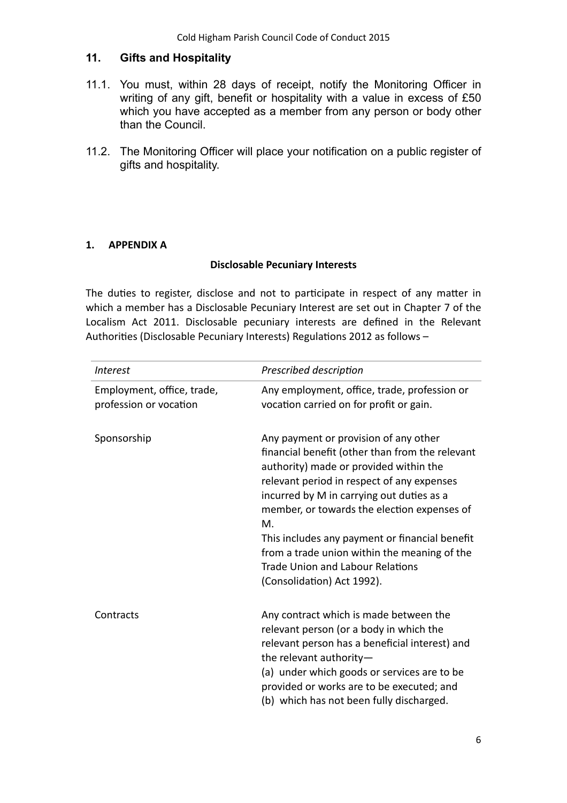## **11. Gifts and Hospitality**

- 11.1. You must, within 28 days of receipt, notify the Monitoring Officer in writing of any gift, benefit or hospitality with a value in excess of £50 which you have accepted as a member from any person or body other than the Council.
- 11.2. The Monitoring Officer will place your notification on a public register of gifts and hospitality.

## **1. APPENDIX A**

#### **Disclosable Pecuniary Interests**

The duties to register, disclose and not to participate in respect of any matter in which a member has a Disclosable Pecuniary Interest are set out in Chapter 7 of the Localism Act 2011. Disclosable pecuniary interests are defined in the Relevant Authorities (Disclosable Pecuniary Interests) Regulations 2012 as follows -

| <i><u><b>Interest</b></u></i>                        | Prescribed description                                                                                                                                                                                                                                                                                                                                                                                                                                        |
|------------------------------------------------------|---------------------------------------------------------------------------------------------------------------------------------------------------------------------------------------------------------------------------------------------------------------------------------------------------------------------------------------------------------------------------------------------------------------------------------------------------------------|
| Employment, office, trade,<br>profession or vocation | Any employment, office, trade, profession or<br>vocation carried on for profit or gain.                                                                                                                                                                                                                                                                                                                                                                       |
| Sponsorship                                          | Any payment or provision of any other<br>financial benefit (other than from the relevant<br>authority) made or provided within the<br>relevant period in respect of any expenses<br>incurred by M in carrying out duties as a<br>member, or towards the election expenses of<br>M.<br>This includes any payment or financial benefit<br>from a trade union within the meaning of the<br><b>Trade Union and Labour Relations</b><br>(Consolidation) Act 1992). |
| Contracts                                            | Any contract which is made between the<br>relevant person (or a body in which the<br>relevant person has a beneficial interest) and<br>the relevant authority-<br>(a) under which goods or services are to be<br>provided or works are to be executed; and<br>(b) which has not been fully discharged.                                                                                                                                                        |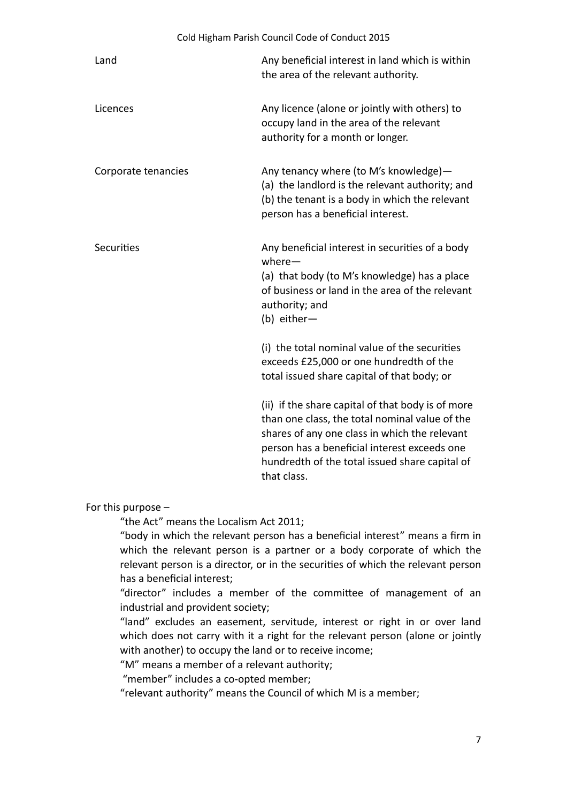| Cold Higham Parish Council Code of Conduct 2015 |                                                                                                                                                                                                                                                                       |
|-------------------------------------------------|-----------------------------------------------------------------------------------------------------------------------------------------------------------------------------------------------------------------------------------------------------------------------|
| Land                                            | Any beneficial interest in land which is within<br>the area of the relevant authority.                                                                                                                                                                                |
| Licences                                        | Any licence (alone or jointly with others) to<br>occupy land in the area of the relevant<br>authority for a month or longer.                                                                                                                                          |
| Corporate tenancies                             | Any tenancy where (to M's knowledge)-<br>(a) the landlord is the relevant authority; and<br>(b) the tenant is a body in which the relevant<br>person has a beneficial interest.                                                                                       |
| Securities                                      | Any beneficial interest in securities of a body<br>$where -$<br>(a) that body (to M's knowledge) has a place<br>of business or land in the area of the relevant<br>authority; and<br>(b) either-                                                                      |
|                                                 | (i) the total nominal value of the securities<br>exceeds £25,000 or one hundredth of the<br>total issued share capital of that body; or                                                                                                                               |
|                                                 | (ii) if the share capital of that body is of more<br>than one class, the total nominal value of the<br>shares of any one class in which the relevant<br>person has a beneficial interest exceeds one<br>hundredth of the total issued share capital of<br>that class. |

For this purpose –

"the Act" means the Localism Act 2011;

"body in which the relevant person has a beneficial interest" means a firm in which the relevant person is a partner or a body corporate of which the relevant person is a director, or in the securities of which the relevant person has a beneficial interest;

"director" includes a member of the committee of management of an industrial and provident society;

"land" excludes an easement, servitude, interest or right in or over land which does not carry with it a right for the relevant person (alone or jointly with another) to occupy the land or to receive income;

"M" means a member of a relevant authority;

"member" includes a co-opted member;

"relevant authority" means the Council of which M is a member;